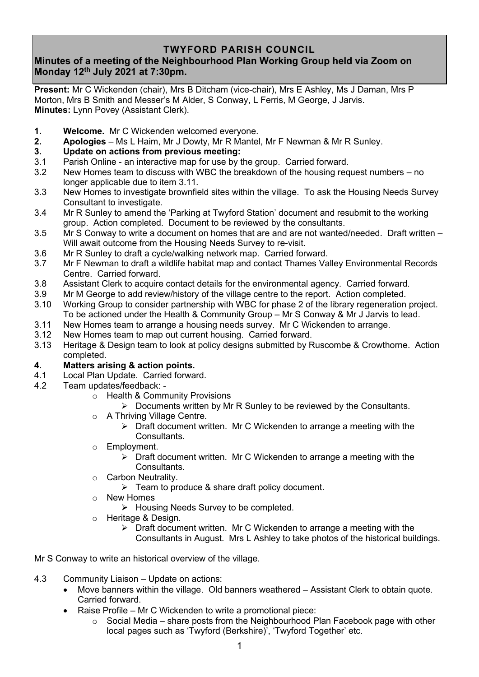# **TWYFORD PARISH COUNCIL**

# **Minutes of a meeting of the Neighbourhood Plan Working Group held via Zoom on Monday 12th July 2021 at 7:30pm.**

**Present:** Mr C Wickenden (chair), Mrs B Ditcham (vice-chair), Mrs E Ashley, Ms J Daman, Mrs P Morton, Mrs B Smith and Messer's M Alder, S Conway, L Ferris, M George, J Jarvis. **Minutes:** Lynn Povey (Assistant Clerk).

- **1. Welcome.** Mr C Wickenden welcomed everyone.
- **2. Apologies** Ms L Haim, Mr J Dowty, Mr R Mantel, Mr F Newman & Mr R Sunley.

### **3. Update on actions from previous meeting:**

- 3.1 Parish Online an interactive map for use by the group. Carried forward.
- 3.2 New Homes team to discuss with WBC the breakdown of the housing request numbers no longer applicable due to item 3.11.
- 3.3 New Homes to investigate brownfield sites within the village. To ask the Housing Needs Survey Consultant to investigate.
- 3.4 Mr R Sunley to amend the 'Parking at Twyford Station' document and resubmit to the working group. Action completed. Document to be reviewed by the consultants.
- 3.5 Mr S Conway to write a document on homes that are and are not wanted/needed. Draft written Will await outcome from the Housing Needs Survey to re-visit.
- 3.6 Mr R Sunley to draft a cycle/walking network map. Carried forward.
- 3.7 Mr F Newman to draft a wildlife habitat map and contact Thames Valley Environmental Records Centre. Carried forward.
- 3.8 Assistant Clerk to acquire contact details for the environmental agency. Carried forward.
- 3.9 Mr M George to add review/history of the village centre to the report. Action completed.
- 3.10 Working Group to consider partnership with WBC for phase 2 of the library regeneration project. To be actioned under the Health & Community Group – Mr S Conway & Mr J Jarvis to lead.
- 3.11 New Homes team to arrange a housing needs survey. Mr C Wickenden to arrange.
- 3.12 New Homes team to map out current housing. Carried forward.
- 3.13 Heritage & Design team to look at policy designs submitted by Ruscombe & Crowthorne. Action completed.

#### **4. Matters arising & action points.**

- 4.1 Local Plan Update. Carried forward.
- 4.2 Team updates/feedback:
	- o Health & Community Provisions
		- $\triangleright$  Documents written by Mr R Sunley to be reviewed by the Consultants.
	- o A Thriving Village Centre.
		- ➢ Draft document written. Mr C Wickenden to arrange a meeting with the Consultants.
	- o Employment.
		- $\triangleright$  Draft document written. Mr C Wickenden to arrange a meeting with the Consultants.
	- o Carbon Neutrality.
		- $\triangleright$  Team to produce & share draft policy document.
	- o New Homes
		- ➢ Housing Needs Survey to be completed.
	- o Heritage & Design.
		- ➢ Draft document written. Mr C Wickenden to arrange a meeting with the Consultants in August. Mrs L Ashley to take photos of the historical buildings.

Mr S Conway to write an historical overview of the village.

- 4.3 Community Liaison Update on actions:
	- Move banners within the village. Old banners weathered Assistant Clerk to obtain quote. Carried forward.
	- Raise Profile Mr C Wickenden to write a promotional piece:
		- $\circ$  Social Media share posts from the Neighbourhood Plan Facebook page with other local pages such as 'Twyford (Berkshire)', 'Twyford Together' etc.